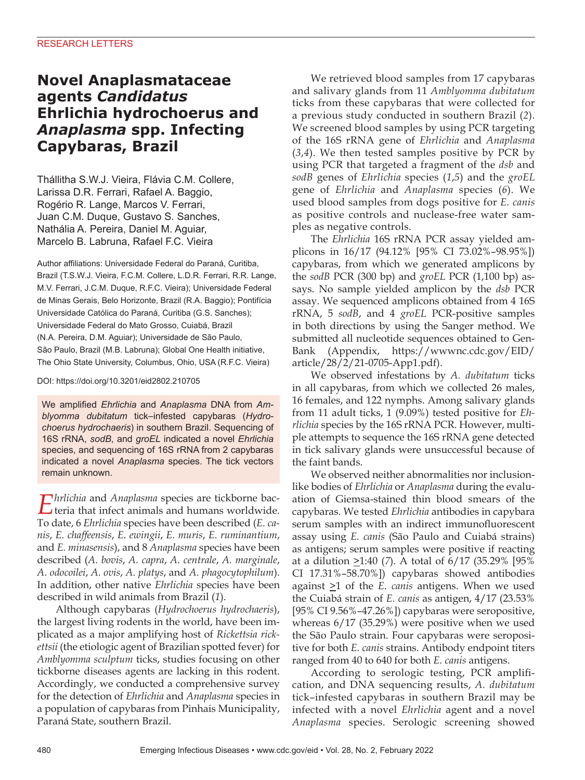# **Novel Anaplasmataceae agents** *Candidatus* **Ehrlichia hydrochoerus and**  *Anaplasma* **spp. Infecting Capybaras, Brazil**

Thállitha S.W.J. Vieira, Flávia C.M. Collere, Larissa D.R. Ferrari, Rafael A. Baggio, Rogério R. Lange, Marcos V. Ferrari, Juan C.M. Duque, Gustavo S. Sanches, Nathália A. Pereira, Daniel M. Aguiar, Marcelo B. Labruna, Rafael F.C. Vieira

Author affiliations: Universidade Federal do Paraná, Curitiba, Brazil (T.S.W.J. Vieira, F.C.M. Collere, L.D.R. Ferrari, R.R. Lange, M.V. Ferrari, J.C.M. Duque, R.F.C. Vieira); Universidade Federal de Minas Gerais, Belo Horizonte, Brazil (R.A. Baggio); Pontifícia Universidade Católica do Paraná, Curitiba (G.S. Sanches); Universidade Federal do Mato Grosso, Cuiabá, Brazil (N.A. Pereira, D.M. Aguiar); Universidade de São Paulo, São Paulo, Brazil (M.B. Labruna); Global One Health initiative, The Ohio State University, Columbus, Ohio, USA (R.F.C. Vieira)

DOI: https://doi.org/10.3201/eid2802.210705

We amplified *Ehrlichia* and *Anaplasma* DNA from *Amblyomma dubitatum* tick–infested capybaras (*Hydrochoerus hydrochaeris*) in southern Brazil. Sequencing of 16S rRNA, *sodB*, and *groEL* indicated a novel *Ehrlichia* species, and sequencing of 16S rRNA from 2 capybaras indicated a novel *Anaplasma* species. The tick vectors remain unknown.

*Ehrlichia* and *Anaplasma* species are tickborne bac-teria that infect animals and humans worldwide. To date, 6 *Ehrlichia* species have been described (*E. canis*, *E. chaffeensis*, *E. ewingii*, *E. muris*, *E. ruminantium*, and *E. minasensis*), and 8 *Anaplasma* species have been described (*A. bovis*, *A. capra*, *A. centrale*, *A. marginale*, *A. odocoilei*, *A. ovis*, *A. platys*, and *A. phagocytophilum*). In addition, other native *Ehrlichia* species have been described in wild animals from Brazil (*1*).

Although capybaras (*Hydrochoerus hydrochaeris*), the largest living rodents in the world, have been implicated as a major amplifying host of *Rickettsia rickettsii* (the etiologic agent of Brazilian spotted fever) for *Amblyomma sculptum* ticks, studies focusing on other tickborne diseases agents are lacking in this rodent. Accordingly, we conducted a comprehensive survey for the detection of *Ehrlichia* and *Anaplasma* species in a population of capybaras from Pinhais Municipality, Paraná State, southern Brazil.

We retrieved blood samples from 17 capybaras and salivary glands from 11 *Amblyomma dubitatum* ticks from these capybaras that were collected for a previous study conducted in southern Brazil (*2*). We screened blood samples by using PCR targeting of the 16S rRNA gene of *Ehrlichia* and *Anaplasma* (*3*,*4*). We then tested samples positive by PCR by using PCR that targeted a fragment of the *dsb* and *sodB* genes of *Ehrlichia* species (*1*,*5*) and the *groEL* gene of *Ehrlichia* and *Anaplasma* species (*6*). We used blood samples from dogs positive for *E. canis* as positive controls and nuclease-free water samples as negative controls.

The *Ehrlichia* 16S rRNA PCR assay yielded amplicons in 16/17 (94.12% [95% CI 73.02%–98.95%]) capybaras, from which we generated amplicons by the *sodB* PCR (300 bp) and *groEL* PCR (1,100 bp) assays. No sample yielded amplicon by the *dsb* PCR assay. We sequenced amplicons obtained from 4 16S rRNA, 5 *sodB*, and 4 *groEL* PCR-positive samples in both directions by using the Sanger method. We submitted all nucleotide sequences obtained to Gen-Bank (Appendix, https://wwwnc.cdc.gov/EID/ article/28/2/21-0705-App1.pdf).

We observed infestations by *A. dubitatum* ticks in all capybaras, from which we collected 26 males, 16 females, and 122 nymphs. Among salivary glands from 11 adult ticks, 1 (9.09%) tested positive for *Ehrlichia* species by the 16S rRNA PCR. However, multiple attempts to sequence the 16S rRNA gene detected in tick salivary glands were unsuccessful because of the faint bands.

We observed neither abnormalities nor inclusionlike bodies of *Ehrlichia* or *Anaplasma* during the evaluation of Giemsa-stained thin blood smears of the capybaras. We tested *Ehrlichia* antibodies in capybara serum samples with an indirect immunofluorescent assay using *E. canis* (São Paulo and Cuiabá strains) as antigens; serum samples were positive if reacting at a dilution  $\geq$ 1:40 (7). A total of 6/17 (35.29% [95% CI 17.31%–58.70%]) capybaras showed antibodies against  $\geq 1$  of the *E. canis* antigens. When we used the Cuiabá strain of *E. canis* as antigen, 4/17 (23.53% [95% CI 9.56%–47.26%]) capybaras were seropositive, whereas 6/17 (35.29%) were positive when we used the São Paulo strain. Four capybaras were seropositive for both *E. canis* strains. Antibody endpoint titers ranged from 40 to 640 for both *E. canis* antigens.

According to serologic testing, PCR amplification, and DNA sequencing results, *A. dubitatum*  tick–infested capybaras in southern Brazil may be infected with a novel *Ehrlichia* agent and a novel *Anaplasma* species. Serologic screening showed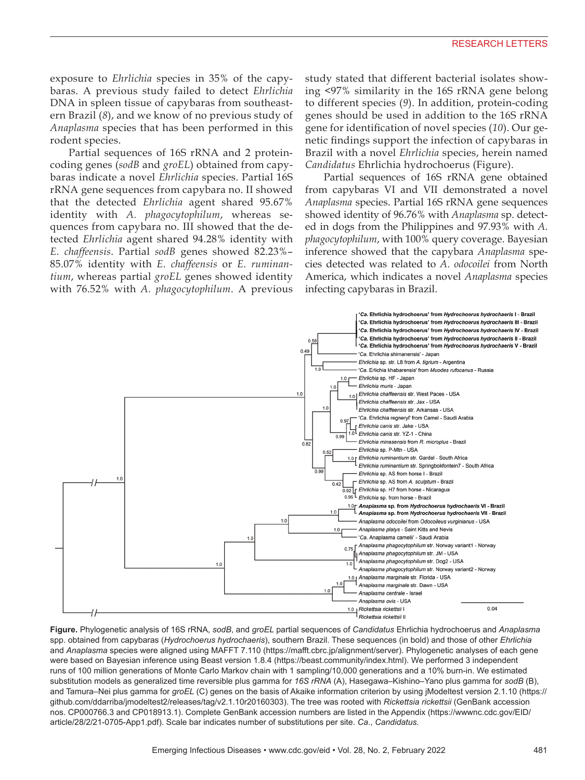exposure to *Ehrlichia* species in 35% of the capybaras. A previous study failed to detect *Ehrlichia* DNA in spleen tissue of capybaras from southeastern Brazil (*8*), and we know of no previous study of *Anaplasma* species that has been performed in this rodent species.

Partial sequences of 16S rRNA and 2 proteincoding genes (*sodB* and *groEL*) obtained from capybaras indicate a novel *Ehrlichia* species. Partial 16S rRNA gene sequences from capybara no. II showed that the detected *Ehrlichia* agent shared 95.67% identity with *A. phagocytophilum*, whereas sequences from capybara no. III showed that the detected *Ehrlichia* agent shared 94.28% identity with *E. chaffeensis*. Partial *sodB* genes showed 82.23%– 85.07% identity with *E. chaffeensis* or *E. ruminantium*, whereas partial *groEL* genes showed identity with 76.52% with *A. phagocytophilum*. A previous

study stated that different bacterial isolates showing <97% similarity in the 16S rRNA gene belong to different species (*9*). In addition, protein-coding genes should be used in addition to the 16S rRNA gene for identification of novel species (*10*). Our genetic findings support the infection of capybaras in Brazil with a novel *Ehrlichia* species, herein named *Candidatus* Ehrlichia hydrochoerus (Figure).

Partial sequences of 16S rRNA gene obtained from capybaras VI and VII demonstrated a novel *Anaplasma* species. Partial 16S rRNA gene sequences showed identity of 96.76% with *Anaplasma* sp. detected in dogs from the Philippines and 97.93% with *A. phagocytophilum*, with 100% query coverage. Bayesian inference showed that the capybara *Anaplasma* species detected was related to *A. odocoilei* from North America, which indicates a novel *Anaplasma* species infecting capybaras in Brazil.



**Figure.** Phylogenetic analysis of 16S rRNA, *sodB*, and *groEL* partial sequences of *Candidatus* Ehrlichia hydrochoerus and *Anaplasma* spp. obtained from capybaras (*Hydrochoerus hydrochaeris*), southern Brazil. These sequences (in bold) and those of other *Ehrlichia* and *Anaplasma* species were aligned using MAFFT 7.110 (https://mafft.cbrc.jp/alignment/server). Phylogenetic analyses of each gene were based on Bayesian inference using Beast version 1.8.4 (https://beast.community/index.html). We performed 3 independent runs of 100 million generations of Monte Carlo Markov chain with 1 sampling/10,000 generations and a 10% burn-in. We estimated substitution models as generalized time reversible plus gamma for *16S rRNA* (A), Hasegawa–Kishino–Yano plus gamma for *sodB* (B), and Tamura–Nei plus gamma for *groEL* (C) genes on the basis of Akaike information criterion by using jModeltest version 2.1.10 (https:// github.com/ddarriba/jmodeltest2/releases/tag/v2.1.10r20160303). The tree was rooted with *Rickettsia rickettsii* (GenBank accession nos. CP000766.3 and CP018913.1). Complete GenBank accession numbers are listed in the Appendix (https://wwwnc.cdc.gov/EID/ article/28/2/21-0705-App1.pdf). Scale bar indicates number of substitutions per site. *Ca*., *Candidatus.*